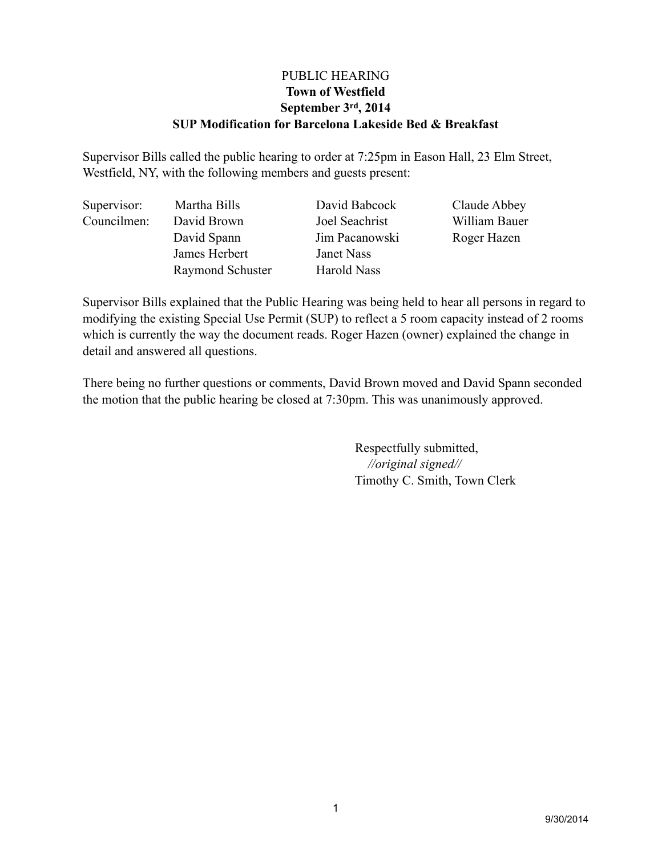# PUBLIC HEARING **Town of Westfield September 3rd, 2014 SUP Modification for Barcelona Lakeside Bed & Breakfast**

Supervisor Bills called the public hearing to order at 7:25pm in Eason Hall, 23 Elm Street, Westfield, NY, with the following members and guests present:

| Supervisor: | Martha Bills     | David Babcock  | Claude Abbey  |
|-------------|------------------|----------------|---------------|
| Councilmen: | David Brown      | Joel Seachrist | William Bauer |
|             | David Spann      | Jim Pacanowski | Roger Hazen   |
|             | James Herbert    | Janet Nass     |               |
|             | Raymond Schuster | Harold Nass    |               |

Supervisor Bills explained that the Public Hearing was being held to hear all persons in regard to modifying the existing Special Use Permit (SUP) to reflect a 5 room capacity instead of 2 rooms which is currently the way the document reads. Roger Hazen (owner) explained the change in detail and answered all questions.

There being no further questions or comments, David Brown moved and David Spann seconded the motion that the public hearing be closed at 7:30pm. This was unanimously approved.

> Respectfully submitted, *//original signed//* Timothy C. Smith, Town Clerk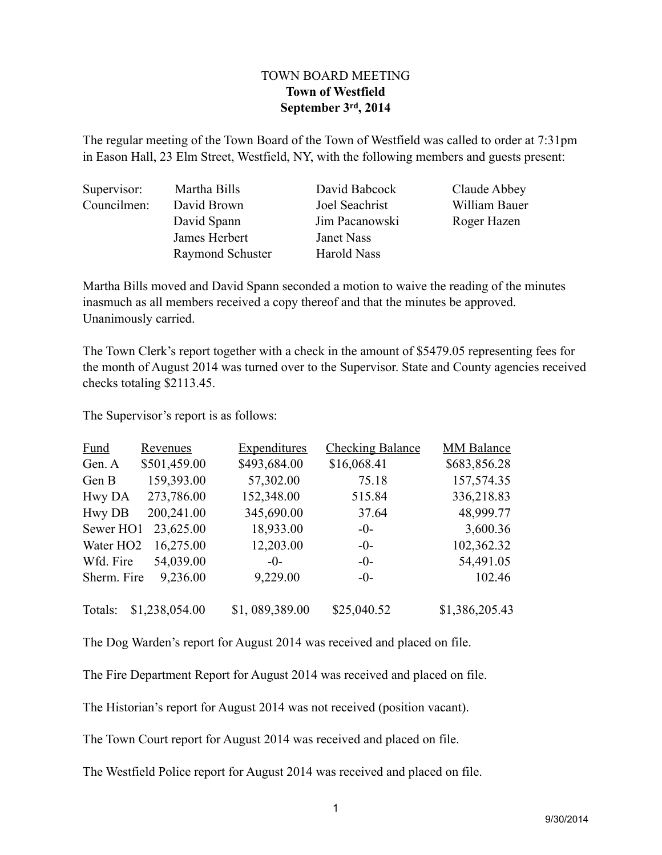# TOWN BOARD MEETING **Town of Westfield September 3rd, 2014**

The regular meeting of the Town Board of the Town of Westfield was called to order at 7:31pm in Eason Hall, 23 Elm Street, Westfield, NY, with the following members and guests present:

| Supervisor: | Martha Bills     | David Babcock  | Claude Abbey  |
|-------------|------------------|----------------|---------------|
| Councilmen: | David Brown      | Joel Seachrist | William Bauer |
|             | David Spann      | Jim Pacanowski | Roger Hazen   |
|             | James Herbert    | Janet Nass     |               |
|             | Raymond Schuster | Harold Nass    |               |
|             |                  |                |               |

Martha Bills moved and David Spann seconded a motion to waive the reading of the minutes inasmuch as all members received a copy thereof and that the minutes be approved. Unanimously carried.

The Town Clerk's report together with a check in the amount of \$5479.05 representing fees for the month of August 2014 was turned over to the Supervisor. State and County agencies received checks totaling \$2113.45.

The Supervisor's report is as follows:

| <b>Fund</b>           | Revenues       | <b>Expenditures</b> | <b>Checking Balance</b> | <b>MM Balance</b> |
|-----------------------|----------------|---------------------|-------------------------|-------------------|
| Gen. A                | \$501,459.00   | \$493,684.00        | \$16,068.41             | \$683,856.28      |
| Gen B                 | 159,393.00     | 57,302.00           | 75.18                   | 157,574.35        |
| Hwy DA                | 273,786.00     | 152,348.00          | 515.84                  | 336,218.83        |
| <b>Hwy DB</b>         | 200,241.00     | 345,690.00          | 37.64                   | 48,999.77         |
| Sewer HO1             | 23,625.00      | 18,933.00           | $-0-$                   | 3,600.36          |
| Water HO <sub>2</sub> | 16,275.00      | 12,203.00           | $-0-$                   | 102,362.32        |
| Wfd. Fire             | 54,039.00      | $-()$ -             | $-0-$                   | 54,491.05         |
| Sherm. Fire           | 9,236.00       | 9,229.00            | $-0-$                   | 102.46            |
| Totals:               | \$1,238,054.00 | \$1,089,389.00      | \$25,040.52             | \$1,386,205.43    |

The Dog Warden's report for August 2014 was received and placed on file.

The Fire Department Report for August 2014 was received and placed on file.

The Historian's report for August 2014 was not received (position vacant).

The Town Court report for August 2014 was received and placed on file.

The Westfield Police report for August 2014 was received and placed on file.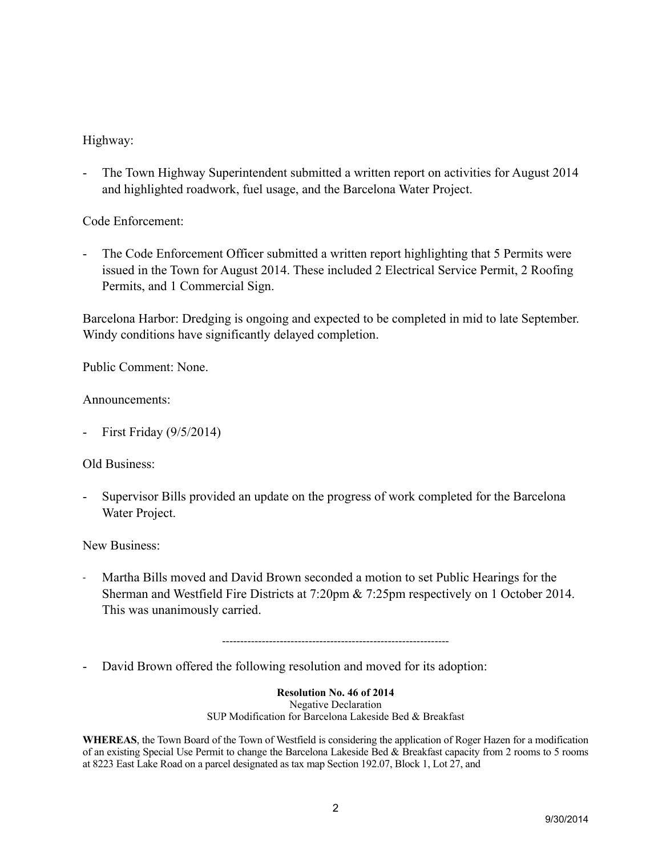# Highway:

- The Town Highway Superintendent submitted a written report on activities for August 2014 and highlighted roadwork, fuel usage, and the Barcelona Water Project.

Code Enforcement:

- The Code Enforcement Officer submitted a written report highlighting that 5 Permits were issued in the Town for August 2014. These included 2 Electrical Service Permit, 2 Roofing Permits, and 1 Commercial Sign.

Barcelona Harbor: Dredging is ongoing and expected to be completed in mid to late September. Windy conditions have significantly delayed completion.

Public Comment: None.

### Announcements:

First Friday (9/5/2014)

### Old Business:

- Supervisor Bills provided an update on the progress of work completed for the Barcelona Water Project.

### New Business:

- Martha Bills moved and David Brown seconded a motion to set Public Hearings for the Sherman and Westfield Fire Districts at 7:20pm & 7:25pm respectively on 1 October 2014. This was unanimously carried.

---------------------------------------------------------------

- David Brown offered the following resolution and moved for its adoption:

**Resolution No. 46 of 2014**

Negative Declaration SUP Modification for Barcelona Lakeside Bed & Breakfast

**WHEREAS**, the Town Board of the Town of Westfield is considering the application of Roger Hazen for a modification of an existing Special Use Permit to change the Barcelona Lakeside Bed & Breakfast capacity from 2 rooms to 5 rooms at 8223 East Lake Road on a parcel designated as tax map Section 192.07, Block 1, Lot 27, and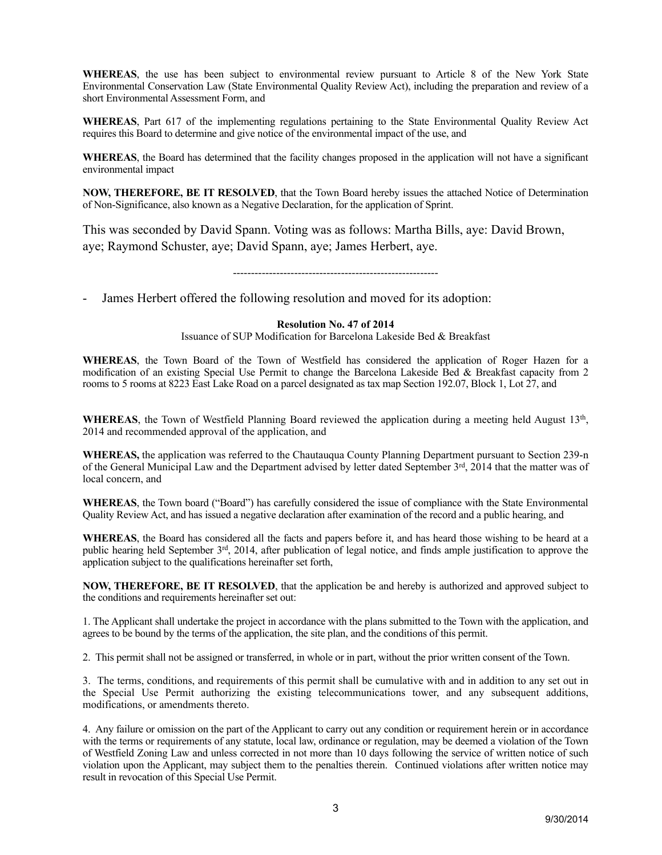**WHEREAS**, the use has been subject to environmental review pursuant to Article 8 of the New York State Environmental Conservation Law (State Environmental Quality Review Act), including the preparation and review of a short Environmental Assessment Form, and

**WHEREAS**, Part 617 of the implementing regulations pertaining to the State Environmental Quality Review Act requires this Board to determine and give notice of the environmental impact of the use, and

**WHEREAS**, the Board has determined that the facility changes proposed in the application will not have a significant environmental impact

**NOW, THEREFORE, BE IT RESOLVED**, that the Town Board hereby issues the attached Notice of Determination of Non-Significance, also known as a Negative Declaration, for the application of Sprint.

This was seconded by David Spann. Voting was as follows: Martha Bills, aye: David Brown, aye; Raymond Schuster, aye; David Spann, aye; James Herbert, aye.

---------------------------------------------------------

James Herbert offered the following resolution and moved for its adoption:

#### **Resolution No. 47 of 2014**

Issuance of SUP Modification for Barcelona Lakeside Bed & Breakfast

**WHEREAS**, the Town Board of the Town of Westfield has considered the application of Roger Hazen for a modification of an existing Special Use Permit to change the Barcelona Lakeside Bed & Breakfast capacity from 2 rooms to 5 rooms at 8223 East Lake Road on a parcel designated as tax map Section 192.07, Block 1, Lot 27, and

WHEREAS, the Town of Westfield Planning Board reviewed the application during a meeting held August 13<sup>th</sup>, 2014 and recommended approval of the application, and

**WHEREAS,** the application was referred to the Chautauqua County Planning Department pursuant to Section 239-n of the General Municipal Law and the Department advised by letter dated September 3rd, 2014 that the matter was of local concern, and

**WHEREAS**, the Town board ("Board") has carefully considered the issue of compliance with the State Environmental Quality Review Act, and has issued a negative declaration after examination of the record and a public hearing, and

**WHEREAS**, the Board has considered all the facts and papers before it, and has heard those wishing to be heard at a public hearing held September 3rd, 2014, after publication of legal notice, and finds ample justification to approve the application subject to the qualifications hereinafter set forth,

**NOW, THEREFORE, BE IT RESOLVED**, that the application be and hereby is authorized and approved subject to the conditions and requirements hereinafter set out:

1. The Applicant shall undertake the project in accordance with the plans submitted to the Town with the application, and agrees to be bound by the terms of the application, the site plan, and the conditions of this permit.

2. This permit shall not be assigned or transferred, in whole or in part, without the prior written consent of the Town.

3. The terms, conditions, and requirements of this permit shall be cumulative with and in addition to any set out in the Special Use Permit authorizing the existing telecommunications tower, and any subsequent additions, modifications, or amendments thereto.

4. Any failure or omission on the part of the Applicant to carry out any condition or requirement herein or in accordance with the terms or requirements of any statute, local law, ordinance or regulation, may be deemed a violation of the Town of Westfield Zoning Law and unless corrected in not more than 10 days following the service of written notice of such violation upon the Applicant, may subject them to the penalties therein. Continued violations after written notice may result in revocation of this Special Use Permit.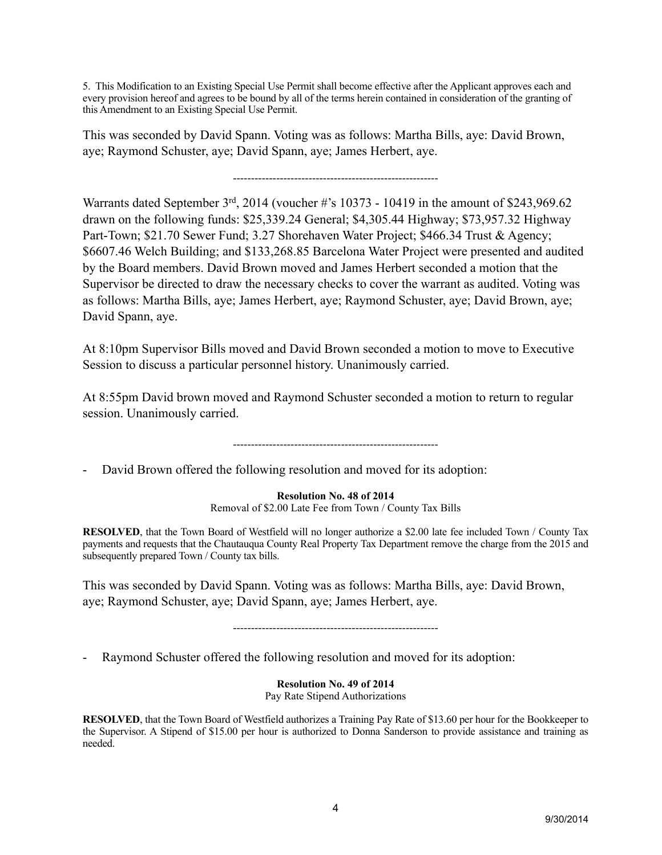5. This Modification to an Existing Special Use Permit shall become effective after the Applicant approves each and every provision hereof and agrees to be bound by all of the terms herein contained in consideration of the granting of this Amendment to an Existing Special Use Permit.

This was seconded by David Spann. Voting was as follows: Martha Bills, aye: David Brown, aye; Raymond Schuster, aye; David Spann, aye; James Herbert, aye.

---------------------------------------------------------

Warrants dated September 3rd, 2014 (voucher #'s 10373 - 10419 in the amount of \$243,969.62 drawn on the following funds: \$25,339.24 General; \$4,305.44 Highway; \$73,957.32 Highway Part-Town; \$21.70 Sewer Fund; 3.27 Shorehaven Water Project; \$466.34 Trust & Agency; \$6607.46 Welch Building; and \$133,268.85 Barcelona Water Project were presented and audited by the Board members. David Brown moved and James Herbert seconded a motion that the Supervisor be directed to draw the necessary checks to cover the warrant as audited. Voting was as follows: Martha Bills, aye; James Herbert, aye; Raymond Schuster, aye; David Brown, aye; David Spann, aye.

At 8:10pm Supervisor Bills moved and David Brown seconded a motion to move to Executive Session to discuss a particular personnel history. Unanimously carried.

At 8:55pm David brown moved and Raymond Schuster seconded a motion to return to regular session. Unanimously carried.

---------------------------------------------------------

- David Brown offered the following resolution and moved for its adoption:

**Resolution No. 48 of 2014**

Removal of \$2.00 Late Fee from Town / County Tax Bills

**RESOLVED**, that the Town Board of Westfield will no longer authorize a \$2.00 late fee included Town / County Tax payments and requests that the Chautauqua County Real Property Tax Department remove the charge from the 2015 and subsequently prepared Town / County tax bills.

This was seconded by David Spann. Voting was as follows: Martha Bills, aye: David Brown, aye; Raymond Schuster, aye; David Spann, aye; James Herbert, aye.

---------------------------------------------------------

- Raymond Schuster offered the following resolution and moved for its adoption:

**Resolution No. 49 of 2014**

Pay Rate Stipend Authorizations

**RESOLVED**, that the Town Board of Westfield authorizes a Training Pay Rate of \$13.60 per hour for the Bookkeeper to the Supervisor. A Stipend of \$15.00 per hour is authorized to Donna Sanderson to provide assistance and training as needed.